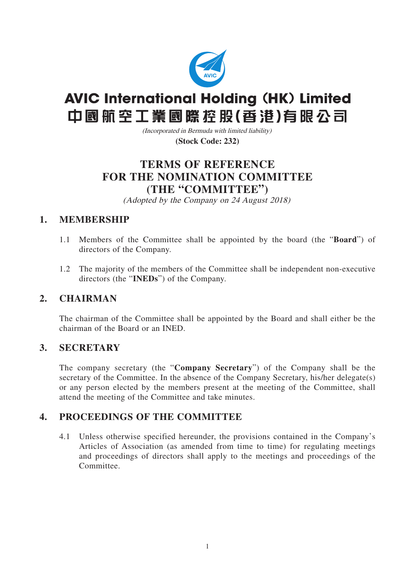

# **AVIC International Holding (HK) Limited** 中國航空工業國際控股(香港)有限公司

**(Stock Code: 232)** (Incorporated in Bermuda with limited liability)

## **TERMS OF REFERENCE FOR THE NOMINATION COMMITTEE (THE "COMMITTEE")**

(Adopted by the Company on 24 August 2018)

## **1. MEMBERSHIP**

- 1.1 Members of the Committee shall be appointed by the board (the "**Board**") of directors of the Company.
- 1.2 The majority of the members of the Committee shall be independent non-executive directors (the "**INEDs**") of the Company.

## **2. CHAIRMAN**

The chairman of the Committee shall be appointed by the Board and shall either be the chairman of the Board or an INED.

## **3. SECRETARY**

The company secretary (the "**Company Secretary**") of the Company shall be the secretary of the Committee. In the absence of the Company Secretary, his/her delegate(s) or any person elected by the members present at the meeting of the Committee, shall attend the meeting of the Committee and take minutes.

## **4. PROCEEDINGS OF THE COMMITTEE**

4.1 Unless otherwise specified hereunder, the provisions contained in the Company's Articles of Association (as amended from time to time) for regulating meetings and proceedings of directors shall apply to the meetings and proceedings of the Committee.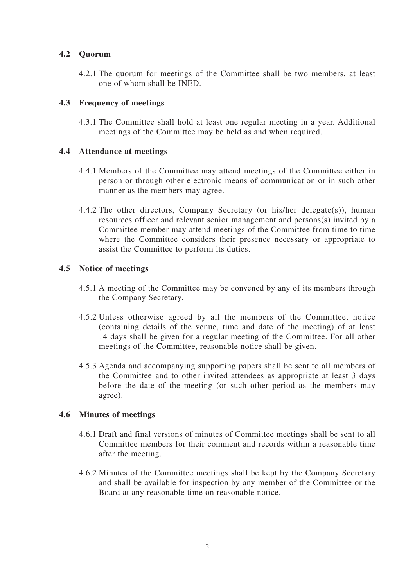#### **4.2 Quorum**

4.2.1 The quorum for meetings of the Committee shall be two members, at least one of whom shall be INED.

#### **4.3 Frequency of meetings**

4.3.1 The Committee shall hold at least one regular meeting in a year. Additional meetings of the Committee may be held as and when required.

#### **4.4 Attendance at meetings**

- 4.4.1 Members of the Committee may attend meetings of the Committee either in person or through other electronic means of communication or in such other manner as the members may agree.
- 4.4.2 The other directors, Company Secretary (or his/her delegate(s)), human resources officer and relevant senior management and persons(s) invited by a Committee member may attend meetings of the Committee from time to time where the Committee considers their presence necessary or appropriate to assist the Committee to perform its duties.

#### **4.5 Notice of meetings**

- 4.5.1 A meeting of the Committee may be convened by any of its members through the Company Secretary.
- 4.5.2 Unless otherwise agreed by all the members of the Committee, notice (containing details of the venue, time and date of the meeting) of at least 14 days shall be given for a regular meeting of the Committee. For all other meetings of the Committee, reasonable notice shall be given.
- 4.5.3 Agenda and accompanying supporting papers shall be sent to all members of the Committee and to other invited attendees as appropriate at least 3 days before the date of the meeting (or such other period as the members may agree).

#### **4.6 Minutes of meetings**

- 4.6.1 Draft and final versions of minutes of Committee meetings shall be sent to all Committee members for their comment and records within a reasonable time after the meeting.
- 4.6.2 Minutes of the Committee meetings shall be kept by the Company Secretary and shall be available for inspection by any member of the Committee or the Board at any reasonable time on reasonable notice.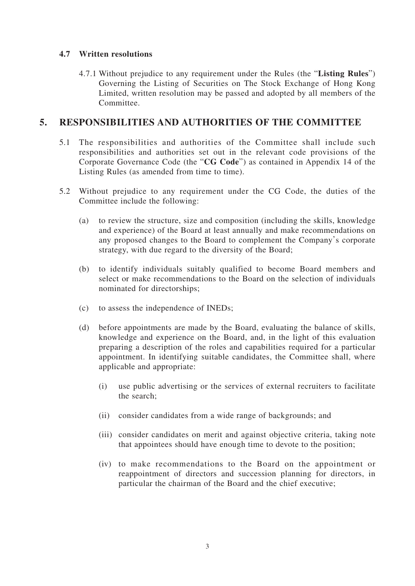#### **4.7 Written resolutions**

4.7.1 Without prejudice to any requirement under the Rules (the "**Listing Rules**") Governing the Listing of Securities on The Stock Exchange of Hong Kong Limited, written resolution may be passed and adopted by all members of the Committee.

## **5. RESPONSIBILITIES AND AUTHORITIES OF THE COMMITTEE**

- 5.1 The responsibilities and authorities of the Committee shall include such responsibilities and authorities set out in the relevant code provisions of the Corporate Governance Code (the "**CG Code**") as contained in Appendix 14 of the Listing Rules (as amended from time to time).
- 5.2 Without prejudice to any requirement under the CG Code, the duties of the Committee include the following:
	- (a) to review the structure, size and composition (including the skills, knowledge and experience) of the Board at least annually and make recommendations on any proposed changes to the Board to complement the Company's corporate strategy, with due regard to the diversity of the Board;
	- (b) to identify individuals suitably qualified to become Board members and select or make recommendations to the Board on the selection of individuals nominated for directorships;
	- (c) to assess the independence of INEDs;
	- (d) before appointments are made by the Board, evaluating the balance of skills, knowledge and experience on the Board, and, in the light of this evaluation preparing a description of the roles and capabilities required for a particular appointment. In identifying suitable candidates, the Committee shall, where applicable and appropriate:
		- (i) use public advertising or the services of external recruiters to facilitate the search;
		- (ii) consider candidates from a wide range of backgrounds; and
		- (iii) consider candidates on merit and against objective criteria, taking note that appointees should have enough time to devote to the position;
		- (iv) to make recommendations to the Board on the appointment or reappointment of directors and succession planning for directors, in particular the chairman of the Board and the chief executive;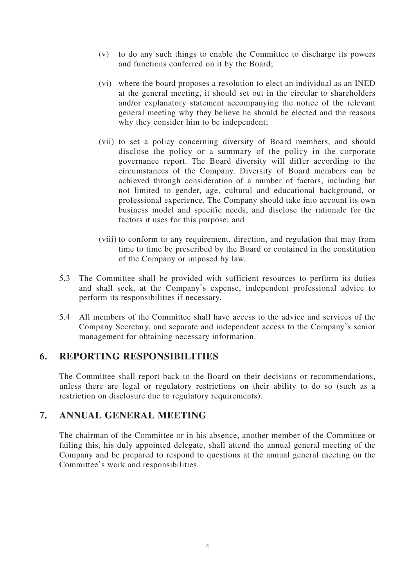- (v) to do any such things to enable the Committee to discharge its powers and functions conferred on it by the Board;
- (vi) where the board proposes a resolution to elect an individual as an INED at the general meeting, it should set out in the circular to shareholders and/or explanatory statement accompanying the notice of the relevant general meeting why they believe he should be elected and the reasons why they consider him to be independent;
- (vii) to set a policy concerning diversity of Board members, and should disclose the policy or a summary of the policy in the corporate governance report. The Board diversity will differ according to the circumstances of the Company. Diversity of Board members can be achieved through consideration of a number of factors, including but not limited to gender, age, cultural and educational background, or professional experience. The Company should take into account its own business model and specific needs, and disclose the rationale for the factors it uses for this purpose; and
- (viii) to conform to any requirement, direction, and regulation that may from time to time be prescribed by the Board or contained in the constitution of the Company or imposed by law.
- 5.3 The Committee shall be provided with sufficient resources to perform its duties and shall seek, at the Company's expense, independent professional advice to perform its responsibilities if necessary.
- 5.4 All members of the Committee shall have access to the advice and services of the Company Secretary, and separate and independent access to the Company's senior management for obtaining necessary information.

## **6. REPORTING RESPONSIBILITIES**

The Committee shall report back to the Board on their decisions or recommendations, unless there are legal or regulatory restrictions on their ability to do so (such as a restriction on disclosure due to regulatory requirements).

## **7. ANNUAL GENERAL MEETING**

The chairman of the Committee or in his absence, another member of the Committee or failing this, his duly appointed delegate, shall attend the annual general meeting of the Company and be prepared to respond to questions at the annual general meeting on the Committee's work and responsibilities.